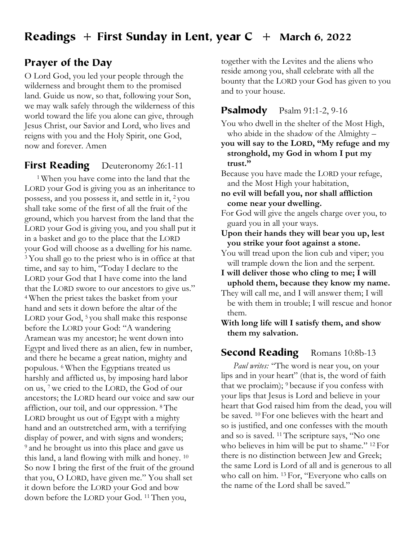# Readings + First Sunday in Lent, year  $C +$  March 6, 2022

## Prayer of the Day

O Lord God, you led your people through the wilderness and brought them to the promised land. Guide us now, so that, following your Son, we may walk safely through the wilderness of this world toward the life you alone can give, through Jesus Christ, our Savior and Lord, who lives and reigns with you and the Holy Spirit, one God, now and forever. Amen

## **First Reading** Deuteronomy 26:1-11

1 When you have come into the land that the LORD your God is giving you as an inheritance to possess, and you possess it, and settle in it, 2 you shall take some of the first of all the fruit of the ground, which you harvest from the land that the LORD your God is giving you, and you shall put it in a basket and go to the place that the LORD your God will choose as a dwelling for his name. 3 You shall go to the priest who is in office at that time, and say to him, "Today I declare to the LORD your God that I have come into the land that the LORD swore to our ancestors to give us." 4 When the priest takes the basket from your hand and sets it down before the altar of the LORD your God, <sup>5</sup> you shall make this response before the LORD your God: "A wandering Aramean was my ancestor; he went down into Egypt and lived there as an alien, few in number, and there he became a great nation, mighty and populous. 6 When the Egyptians treated us harshly and afflicted us, by imposing hard labor on us, 7 we cried to the LORD, the God of our ancestors; the LORD heard our voice and saw our affliction, our toil, and our oppression. 8 The LORD brought us out of Egypt with a mighty hand and an outstretched arm, with a terrifying display of power, and with signs and wonders; 9 and he brought us into this place and gave us this land, a land flowing with milk and honey. 10 So now I bring the first of the fruit of the ground that you, O LORD, have given me." You shall set it down before the LORD your God and bow down before the LORD your God. 11 Then you,

together with the Levites and the aliens who reside among you, shall celebrate with all the bounty that the LORD your God has given to you and to your house.

### **Psalmody** Psalm 91:1-2, 9-16

You who dwell in the shelter of the Most High, who abide in the shadow of the Almighty –

**you will say to the LORD, "My refuge and my stronghold, my God in whom I put my trust."**

Because you have made the LORD your refuge, and the Most High your habitation,

**no evil will befall you, nor shall affliction come near your dwelling.**

For God will give the angels charge over you, to guard you in all your ways.

**Upon their hands they will bear you up, lest you strike your foot against a stone.**

You will tread upon the lion cub and viper; you will trample down the lion and the serpent.

**I will deliver those who cling to me; I will uphold them, because they know my name.**

They will call me, and I will answer them; I will be with them in trouble; I will rescue and honor them.

**With long life will I satisfy them, and show them my salvation.**

## Second Reading Romans 10:8b-13

*Paul writes:* "The word is near you, on your lips and in your heart" (that is, the word of faith that we proclaim); 9 because if you confess with your lips that Jesus is Lord and believe in your heart that God raised him from the dead, you will be saved. 10 For one believes with the heart and so is justified, and one confesses with the mouth and so is saved. 11 The scripture says, "No one who believes in him will be put to shame." <sup>12</sup> For there is no distinction between Jew and Greek; the same Lord is Lord of all and is generous to all who call on him. 13 For, "Everyone who calls on the name of the Lord shall be saved."